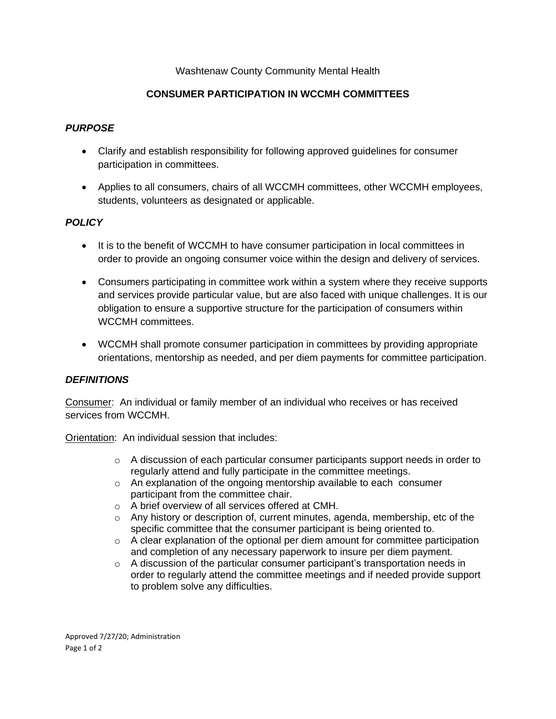#### Washtenaw County Community Mental Health

## **CONSUMER PARTICIPATION IN WCCMH COMMITTEES**

#### *PURPOSE*

- Clarify and establish responsibility for following approved guidelines for consumer participation in committees.
- Applies to all consumers, chairs of all WCCMH committees, other WCCMH employees, students, volunteers as designated or applicable.

## *POLICY*

- It is to the benefit of WCCMH to have consumer participation in local committees in order to provide an ongoing consumer voice within the design and delivery of services.
- Consumers participating in committee work within a system where they receive supports and services provide particular value, but are also faced with unique challenges. It is our obligation to ensure a supportive structure for the participation of consumers within WCCMH committees.
- WCCMH shall promote consumer participation in committees by providing appropriate orientations, mentorship as needed, and per diem payments for committee participation.

#### *DEFINITIONS*

Consumer: An individual or family member of an individual who receives or has received services from WCCMH.

Orientation: An individual session that includes:

- $\circ$  A discussion of each particular consumer participants support needs in order to regularly attend and fully participate in the committee meetings.
- o An explanation of the ongoing mentorship available to each consumer participant from the committee chair.
- o A brief overview of all services offered at CMH.
- $\circ$  Any history or description of, current minutes, agenda, membership, etc of the specific committee that the consumer participant is being oriented to.
- $\circ$  A clear explanation of the optional per diem amount for committee participation and completion of any necessary paperwork to insure per diem payment.
- $\circ$  A discussion of the particular consumer participant's transportation needs in order to regularly attend the committee meetings and if needed provide support to problem solve any difficulties.